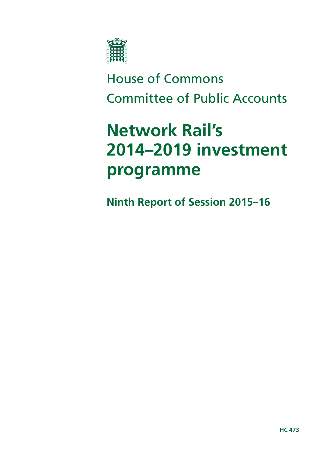

# House of Commons Committee of Public Accounts

# **Network Rail's 2014–2019 investment programme**

**Ninth Report of Session 2015–16**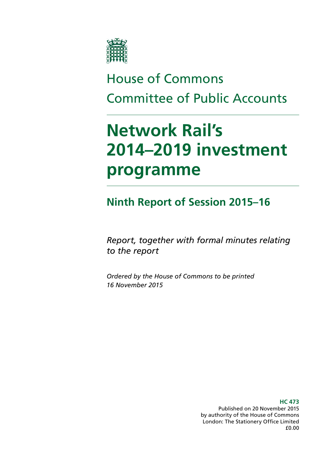

# House of Commons Committee of Public Accounts

# **Network Rail's 2014–2019 investment programme**

## **Ninth Report of Session 2015–16**

*Report, together with formal minutes relating to the report* 

*Ordered by the House of Commons to be printed 16 November 2015* 

> **HC 473**  Published on 20 November 2015 by authority of the House of Commons London: The Stationery Office Limited £0.00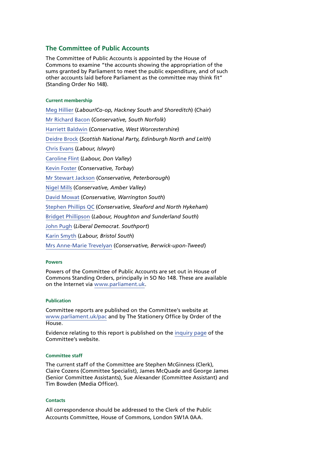### **The Committee of Public Accounts**

The Committee of Public Accounts is appointed by the House of Commons to examine "the accounts showing the appropriation of the sums granted by Parliament to meet the public expenditure, and of such other accounts laid before Parliament as the committee may think fit" (Standing Order No 148).

### **Current membership**

[Meg Hillier](http://www.parliament.uk/biographies/commons/meg-hillier/1524) (*Labour/Co-op, Hackney South and Shoreditch*) (Chair) [Mr Richard Bacon](http://www.parliament.uk/biographies/commons/mr-richard-bacon/1451) (*Conservative, South Norfolk*) [Harriett Baldwin](http://www.parliament.uk/biographies/commons/harriett-baldwin/4107) (*Conservative, West Worcestershire*) [Deidre Brock](http://www.parliament.uk/biographies/commons/deidre-brock/4417) (*Scottish National Party, Edinburgh North and Leith*) [Chris Evans](http://www.parliament.uk/biographies/commons/chris-evans/4040) (*Labour, Islwyn*) [Caroline Flint](http://www.parliament.uk/biographies/commons/caroline-flint/389) (*Labour, Don Valley*) [Kevin Foster](http://www.parliament.uk/biographies/commons/kevin-foster/4451) (*Conservative, Torbay*) [Mr Stewart Jackson](http://www.parliament.uk/biographies/commons/mr-stewart-jackson/1551) (*Conservative, Peterborough*) [Nigel Mills](http://www.parliament.uk/biographies/commons/nigel-mills/4136) (*Conservative, Amber Valley*) [David Mowat](http://www.parliament.uk/biographies/commons/david-mowat/4080) (*Conservative, Warrington South*) [Stephen Phillips QC](http://www.parliament.uk/biographies/commons/stephen-phillips/4054) (*Conservative, Sleaford and North Hykeham*) [Bridget Phillipson](http://www.parliament.uk/biographies/commons/bridget-phillipson/4046) (*Labour, Houghton and Sunderland South*) [John Pugh](http://www.parliament.uk/biographies/commons/john-pugh/1454) (*Liberal Democrat. Southport*) [Karin Smyth](http://www.parliament.uk/biographies/commons/karin-smyth/4444) (*Labour, Bristol South*) [Mrs Anne-Marie Trevelyan](http://www.parliament.uk/biographies/commons/mrs-anne-marie-trevelyan/4531) (*Conservative, Berwick-upon-Tweed*)

#### **Powers**

Powers of the Committee of Public Accounts are set out in House of Commons Standing Orders, principally in SO No 148. These are available on the Internet via [www.parliament.uk.](http://www.parliament.uk)

#### **Publication**

Committee reports are published on the Committee's website at [www.parliament.uk/pac](http://www.parliament.uk/pac) and by The Stationery Office by Order of the House.

Evidence relating to this report is published on the [inquiry page](http://www.parliament.uk/business/committees/committees-a-z/commons-select/public-accounts-committee/inquiries/parliament-2015/network-rail-2014-2019-rail-investment-programme-inquiry/) of the Committee's website.

#### **Committee staff**

The current staff of the Committee are Stephen McGinness (Clerk), Claire Cozens (Committee Specialist), James McQuade and George James (Senior Committee Assistants), Sue Alexander (Committee Assistant) and Tim Bowden (Media Officer).

#### **Contacts**

All correspondence should be addressed to the Clerk of the Public Accounts Committee, House of Commons, London SW1A 0AA.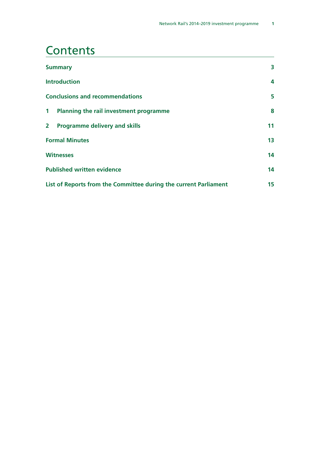### **Contents**

| <b>Summary</b>                                                   |    |
|------------------------------------------------------------------|----|
| <b>Introduction</b>                                              | 4  |
| <b>Conclusions and recommendations</b>                           | 5  |
| $\mathbf 1$<br>Planning the rail investment programme            | 8  |
| $\overline{2}$<br><b>Programme delivery and skills</b>           | 11 |
| <b>Formal Minutes</b>                                            |    |
| <b>Witnesses</b>                                                 |    |
| <b>Published written evidence</b>                                |    |
| List of Reports from the Committee during the current Parliament |    |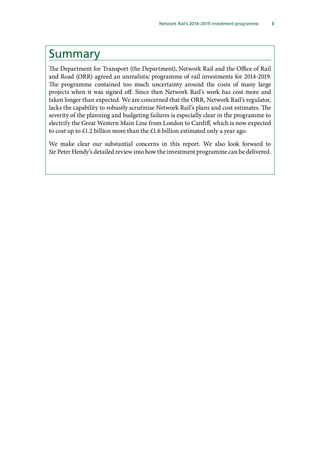### <span id="page-6-0"></span>Summary

The Department for Transport (the Department), Network Rail and the Office of Rail and Road (ORR) agreed an unrealistic programme of rail investments for 2014-2019. The programme contained too much uncertainty around the costs of many large projects when it was signed off. Since then Network Rail's work has cost more and taken longer than expected. We are concerned that the ORR, Network Rail's regulator, lacks the capability to robustly scrutinise Network Rail's plans and cost estimates. The severity of the planning and budgeting failures is especially clear in the programme to electrify the Great Western Main Line from London to Cardiff, which is now expected to cost up to £1.2 billion more than the £1.6 billion estimated only a year ago.

We make clear our substantial concerns in this report. We also look forward to Sir Peter Hendy's detailed review into how the investment programme can be delivered.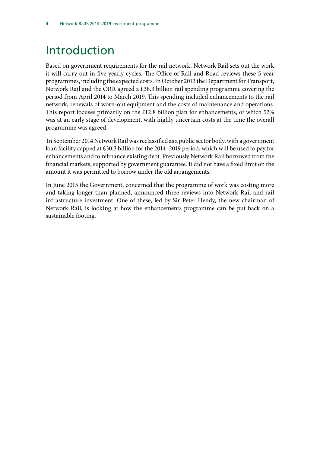## <span id="page-7-0"></span>Introduction

Based on government requirements for the rail network, Network Rail sets out the work it will carry out in five yearly cycles. The Office of Rail and Road reviews these 5-year programmes, including the expected costs. In October 2013 the Department for Transport, Network Rail and the ORR agreed a £38.3 billion rail spending programme covering the period from April 2014 to March 2019. This spending included enhancements to the rail network, renewals of worn-out equipment and the costs of maintenance and operations. This report focuses primarily on the £12.8 billion plan for enhancements, of which 52% was at an early stage of development, with highly uncertain costs at the time the overall programme was agreed.

 In September 2014 Network Rail was reclassified as a public sector body, with a government loan facility capped at £30.3 billion for the 2014–2019 period, which will be used to pay for enhancements and to refinance existing debt. Previously Network Rail borrowed from the financial markets, supported by government guarantee. It did not have a fixed limit on the amount it was permitted to borrow under the old arrangements.

In June 2015 the Government, concerned that the programme of work was costing more and taking longer than planned, announced three reviews into Network Rail and rail infrastructure investment. One of these, led by Sir Peter Hendy, the new chairman of Network Rail, is looking at how the enhancements programme can be put back on a sustainable footing.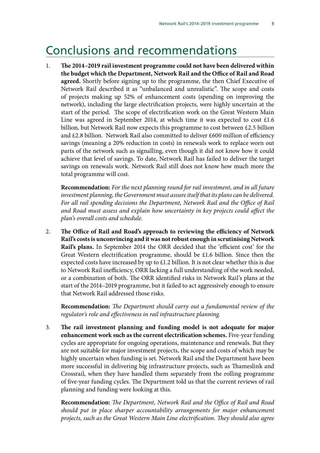### <span id="page-8-0"></span>Conclusions and recommendations

1. **The 2014–2019 rail investment programme could not have been delivered within the budget which the Department, Network Rail and the Office of Rail and Road agreed.** Shortly before signing up to the programme, the then Chief Executive of Network Rail described it as "unbalanced and unrealistic". The scope and costs of projects making up 52% of enhancement costs (spending on improving the network), including the large electrification projects, were highly uncertain at the start of the period. The scope of electrification work on the Great Western Main Line was agreed in September 2014, at which time it was expected to cost £1.6 billion, but Network Rail now expects this programme to cost between £2.5 billion and £2.8 billion. Network Rail also committed to deliver £600 million of efficiency savings (meaning a 20% reduction in costs) in renewals work to replace worn out parts of the network such as signalling, even though it did not know how it could achieve that level of savings. To date, Network Rail has failed to deliver the target savings on renewals work. Network Rail still does not know how much more the total programme will cost.

**Recommendation:** *For the next planning round for rail investment, and in all future investment planning, the Government must assure itself that its plans can be delivered. For all rail spending decisions the Department, Network Rail and the Office of Rail and Road must assess and explain how uncertainty in key projects could affect the plan's overall costs and schedule.* 

2. **The Office of Rail and Road's approach to reviewing the efficiency of Network Rail's costs is unconvincing and it was not robust enough in scrutinising Network Rail's plans.** In September 2014 the ORR decided that the 'efficient cost' for the Great Western electrification programme, should be £1.6 billion. Since then the expected costs have increased by up to £1.2 billion. It is not clear whether this is due to Network Rail inefficiency, ORR lacking a full understanding of the work needed, or a combination of both. The ORR identified risks in Network Rail's plans at the start of the 2014–2019 programme, but it failed to act aggressively enough to ensure that Network Rail addressed those risks.

**Recommendation:** *The Department should carry out a fundamental review of the regulator's role and effectiveness in rail infrastructure planning.* 

3. **The rail investment planning and funding model is not adequate for major enhancement work such as the current electrification schemes.** Five-year funding cycles are appropriate for ongoing operations, maintenance and renewals. But they are not suitable for major investment projects, the scope and costs of which may be highly uncertain when funding is set. Network Rail and the Department have been more successful in delivering big infrastructure projects, such as Thameslink and Crossrail, when they have handled them separately from the rolling programme of five-year funding cycles. The Department told us that the current reviews of rail planning and funding were looking at this.

**Recommendation:** *The Department, Network Rail and the Office of Rail and Road should put in place sharper accountability arrangements for major enhancement projects, such as the Great Western Main Line electrification. They should also agree*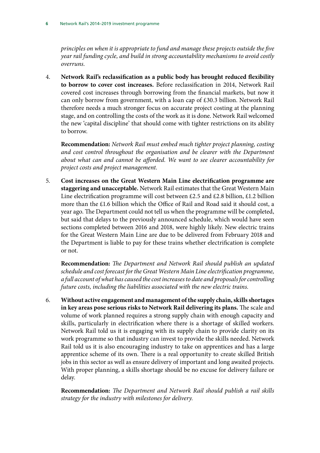*principles on when it is appropriate to fund and manage these projects outside the five year rail funding cycle, and build in strong accountability mechanisms to avoid costly overruns.* 

4. **Network Rail's reclassification as a public body has brought reduced flexibility to borrow to cover cost increases.** Before reclassification in 2014, Network Rail covered cost increases through borrowing from the financial markets, but now it can only borrow from government, with a loan cap of £30.3 billion. Network Rail therefore needs a much stronger focus on accurate project costing at the planning stage, and on controlling the costs of the work as it is done. Network Rail welcomed the new 'capital discipline' that should come with tighter restrictions on its ability to borrow.

**Recommendation:** *Network Rail must embed much tighter project planning, costing*  and cost control throughout the organisation and be clearer with the Department *about what can and cannot be afforded. We want to see clearer accountability for project costs and project management.* 

5. **Cost increases on the Great Western Main Line electrification programme are staggering and unacceptable.** Network Rail estimates that the Great Western Main Line electrification programme will cost between £2.5 and £2.8 billion, £1.2 billion more than the £1.6 billion which the Office of Rail and Road said it should cost, a year ago. The Department could not tell us when the programme will be completed, but said that delays to the previously announced schedule, which would have seen sections completed between 2016 and 2018, were highly likely. New electric trains for the Great Western Main Line are due to be delivered from February 2018 and the Department is liable to pay for these trains whether electrification is complete or not.

**Recommendation:** *The Department and Network Rail should publish an updated schedule and cost forecast for the Great Western Main Line electrification programme, a full account of what has caused the cost increases to date and proposals for controlling future costs, including the liabilities associated with the new electric trains.* 

6. **Without active engagement and management of the supply chain, skills shortages in key areas pose serious risks to Network Rail delivering its plans.** The scale and volume of work planned requires a strong supply chain with enough capacity and skills, particularly in electrification where there is a shortage of skilled workers. Network Rail told us it is engaging with its supply chain to provide clarity on its work programme so that industry can invest to provide the skills needed. Network Rail told us it is also encouraging industry to take on apprentices and has a large apprentice scheme of its own. There is a real opportunity to create skilled British jobs in this sector as well as ensure delivery of important and long awaited projects. With proper planning, a skills shortage should be no excuse for delivery failure or delay.

**Recommendation:** *The Department and Network Rail should publish a rail skills strategy for the industry with milestones for delivery.*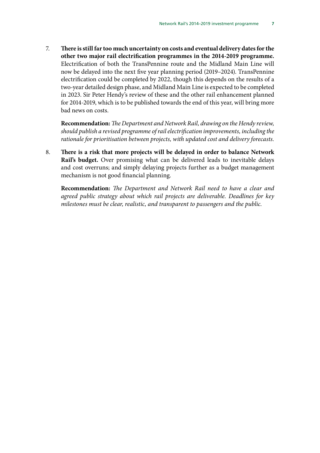7. **There is still far too much uncertainty on costs and eventual delivery dates for the other two major rail electrification programmes in the 2014-2019 programme.**  Electrification of both the TransPennine route and the Midland Main Line will now be delayed into the next five year planning period (2019–2024). TransPennine electrification could be completed by 2022, though this depends on the results of a two-year detailed design phase, and Midland Main Line is expected to be completed in 2023. Sir Peter Hendy's review of these and the other rail enhancement planned for 2014-2019, which is to be published towards the end of this year, will bring more bad news on costs.

**Recommendation:** *The Department and Network Rail, drawing on the Hendy review, should publish a revised programme of rail electrification improvements, including the rationale for prioritisation between projects, with updated cost and delivery forecasts.* 

8. **There is a risk that more projects will be delayed in order to balance Network Rail's budget.** Over promising what can be delivered leads to inevitable delays and cost overruns; and simply delaying projects further as a budget management mechanism is not good financial planning.

**Recommendation:** *The Department and Network Rail need to have a clear and agreed public strategy about which rail projects are deliverable. Deadlines for key milestones must be clear, realistic, and transparent to passengers and the public.*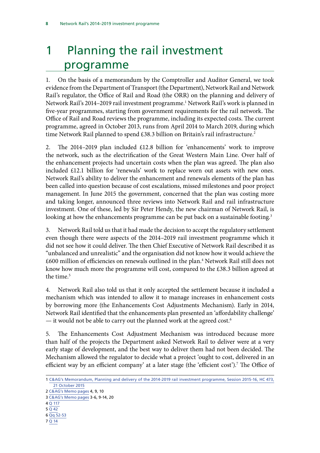# <span id="page-11-0"></span>1 Planning the rail investment programme

1. On the basis of a memorandum by the Comptroller and Auditor General, we took evidence from the Department of Transport (the Department), Network Rail and Network Rail's regulator, the Office of Rail and Road (the ORR) on the planning and delivery of Network Rail's 2014–2019 rail investment programme.<sup>1</sup> Network Rail's work is planned in five-year programmes, starting from government requirements for the rail network. The Office of Rail and Road reviews the programme, including its expected costs. The current programme, agreed in October 2013, runs from April 2014 to March 2019, during which time Network Rail planned to spend £38.3 billion on Britain's rail infrastructure.<sup>2</sup>

2. The 2014–2019 plan included £12.8 billion for 'enhancements' work to improve the network, such as the electrification of the Great Western Main Line. Over half of the enhancement projects had uncertain costs when the plan was agreed. The plan also included £12.1 billion for 'renewals' work to replace worn out assets with new ones. Network Rail's ability to deliver the enhancement and renewals elements of the plan has been called into question because of cost escalations, missed milestones and poor project management. In June 2015 the government, concerned that the plan was costing more and taking longer, announced three reviews into Network Rail and rail infrastructure investment. One of these, led by Sir Peter Hendy, the new chairman of Network Rail, is looking at how the enhancements programme can be put back on a sustainable footing.<sup>3</sup>

3. Network Rail told us that it had made the decision to accept the regulatory settlement even though there were aspects of the 2014–2019 rail investment programme which it did not see how it could deliver. The then Chief Executive of Network Rail described it as "unbalanced and unrealistic" and the organisation did not know how it would achieve the £600 million of efficiencies on renewals outlined in the plan.4 Network Rail still does not know how much more the programme will cost, compared to the £38.3 billion agreed at the time.<sup>5</sup>

4. Network Rail also told us that it only accepted the settlement because it included a mechanism which was intended to allow it to manage increases in enhancement costs by borrowing more (the Enhancements Cost Adjustments Mechanism). Early in 2014, Network Rail identified that the enhancements plan presented an 'affordability challenge' — it would not be able to carry out the planned work at the agreed cost.<sup>6</sup>

5. The Enhancements Cost Adjustment Mechanism was introduced because more than half of the projects the Department asked Network Rail to deliver were at a very early stage of development, and the best way to deliver them had not been decided. The Mechanism allowed the regulator to decide what a project 'ought to cost, delivered in an efficient way by an efficient company' at a later stage (the 'efficient cost').<sup>7</sup> The Office of

5 [Q 42](http://www.parliament.uk/business/committees/committees-a-z/commons-select/public-accounts-committee/inquiries/parliament-2015/network-rail-2014-2019-rail-investment-programme-inquiry/) 

7 [Q 14](http://www.parliament.uk/business/committees/committees-a-z/commons-select/public-accounts-committee/inquiries/parliament-2015/network-rail-2014-2019-rail-investment-programme-inquiry/)

<sup>1</sup> [C&AG's Memorandum, Planning and delivery of the 2014-2019 rail investment programme, Session 2015-16, HC 473,](https://www.nao.org.uk/wp-content/uploads/2015/10/Planning-and-delivery-of-the-2014–2019-rail-investment-programme1.pdf) [21 October 2015](https://www.nao.org.uk/wp-content/uploads/2015/10/Planning-and-delivery-of-the-2014–2019-rail-investment-programme1.pdf)

<sup>2</sup> [C&AG's Memo pages](https://www.nao.org.uk/wp-content/uploads/2015/10/Planning-and-delivery-of-the-2014–2019-rail-investment-programme1.pdf) 4, 9, 10

<sup>3</sup> [C&AG's Memo pages](https://www.nao.org.uk/wp-content/uploads/2015/10/Planning-and-delivery-of-the-2014–2019-rail-investment-programme1.pdf) 3-6, 9-14, 20

<sup>4</sup> [Q 117](http://www.parliament.uk/business/committees/committees-a-z/commons-select/public-accounts-committee/inquiries/parliament-2015/network-rail-2014-2019-rail-investment-programme-inquiry/) 

<sup>6</sup> [Qq 52-53](http://www.parliament.uk/business/committees/committees-a-z/commons-select/public-accounts-committee/inquiries/parliament-2015/network-rail-2014-2019-rail-investment-programme-inquiry/)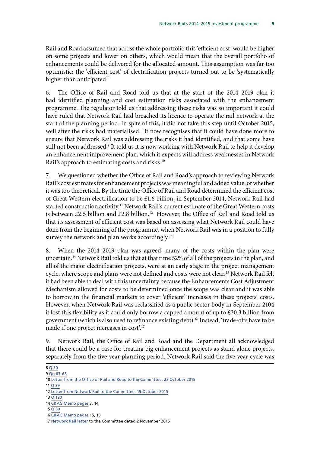Rail and Road assumed that across the whole portfolio this 'efficient cost' would be higher on some projects and lower on others, which would mean that the overall portfolio of enhancements could be delivered for the allocated amount. This assumption was far too optimistic: the 'efficient cost' of electrification projects turned out to be 'systematically higher than anticipated'.<sup>8</sup>

6. The Office of Rail and Road told us that at the start of the 2014–2019 plan it had identified planning and cost estimation risks associated with the enhancement programme. The regulator told us that addressing these risks was so important it could have ruled that Network Rail had breached its licence to operate the rail network at the start of the planning period. In spite of this, it did not take this step until October 2015, well after the risks had materialised. It now recognises that it could have done more to ensure that Network Rail was addressing the risks it had identified, and that some have still not been addressed.<sup>9</sup> It told us it is now working with Network Rail to help it develop an enhancement improvement plan, which it expects will address weaknesses in Network Rail's approach to estimating costs and risks.<sup>10</sup>

7. We questioned whether the Office of Rail and Road's approach to reviewing Network Rail's cost estimates for enhancement projects was meaningful and added value, or whether it was too theoretical. By the time the Office of Rail and Road determined the efficient cost of Great Western electrification to be £1.6 billion, in September 2014, Network Rail had started construction activity.<sup>11</sup> Network Rail's current estimate of the Great Western costs is between £2.5 billion and £2.8 billion.<sup>12</sup> However, the Office of Rail and Road told us that its assessment of efficient cost was based on assessing what Network Rail could have done from the beginning of the programme, when Network Rail was in a position to fully survey the network and plan works accordingly.<sup>13</sup>

8. When the 2014–2019 plan was agreed, many of the costs within the plan were uncertain.<sup>14</sup> Network Rail told us that at that time 52% of all of the projects in the plan, and all of the major electrification projects, were at an early stage in the project management cycle, where scope and plans were not defined and costs were not clear.15 Network Rail felt it had been able to deal with this uncertainty because the Enhancements Cost Adjustment Mechanism allowed for costs to be determined once the scope was clear and it was able to borrow in the financial markets to cover 'efficient' increases in these projects' costs. However, when Network Rail was reclassified as a public sector body in September 2104 it lost this flexibility as it could only borrow a capped amount of up to £30.3 billion from government (which is also used to refinance existing debt).<sup>16</sup> Instead, 'trade-offs have to be made if one project increases in cost'.17

9. Network Rail, the Office of Rail and Road and the Department all acknowledged that there could be a case for treating big enhancement projects as stand alone projects, separately from the five-year planning period. Network Rail said the five-year cycle was

15 [Q 50](http://www.parliament.uk/business/committees/committees-a-z/commons-select/public-accounts-committee/inquiries/parliament-2015/network-rail-2014-2019-rail-investment-programme-inquiry/) 

<sup>8</sup> [Q 30](http://www.parliament.uk/business/committees/committees-a-z/commons-select/public-accounts-committee/inquiries/parliament-2015/network-rail-2014-2019-rail-investment-programme-inquiry/) 

<sup>9</sup> [Qq 63-68](http://www.parliament.uk/business/committees/committees-a-z/commons-select/public-accounts-committee/inquiries/parliament-2015/network-rail-2014-2019-rail-investment-programme-inquiry/)

<sup>10</sup> [Letter from the Office of Rail and Road to the Committee, 23 October 2015](http://www.parliament.uk/business/committees/committees-a-z/commons-select/public-accounts-committee/inquiries/parliament-2015/network-rail-2014-2019-rail-investment-programme-inquiry/) 

<sup>11</sup> [Q 39](http://www.parliament.uk/business/committees/committees-a-z/commons-select/public-accounts-committee/inquiries/parliament-2015/network-rail-2014-2019-rail-investment-programme-inquiry/)

<sup>12</sup> [Letter from Network Rail to the Committee, 19 October 2015](http://www.parliament.uk/business/committees/committees-a-z/commons-select/public-accounts-committee/inquiries/parliament-2015/network-rail-2014-2019-rail-investment-programme-inquiry/) 

<sup>13</sup> [Q 120](http://www.parliament.uk/business/committees/committees-a-z/commons-select/public-accounts-committee/inquiries/parliament-2015/network-rail-2014-2019-rail-investment-programme-inquiry/) 14 [C&AG Memo pages](https://www.nao.org.uk/wp-content/uploads/2015/10/Planning-and-delivery-of-the-2014–2019-rail-investment-programme1.pdf) 3, 14

<sup>16</sup> [C&AG Memo pages](https://www.nao.org.uk/wp-content/uploads/2015/10/Planning-and-delivery-of-the-2014–2019-rail-investment-programme1.pdf) 15, 16

<sup>17</sup> [Network Rail letter](http://www.parliament.uk/business/committees/committees-a-z/commons-select/public-accounts-committee/inquiries/parliament-2015/network-rail-2014-2019-rail-investment-programme-inquiry/) to the Committee dated 2 November 2015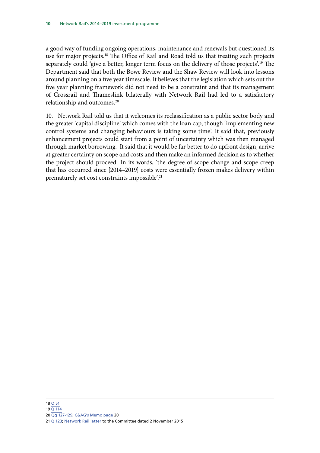separately could 'give a better, longer term focus on the delivery of those projects'.<sup>19</sup> The a good way of funding ongoing operations, maintenance and renewals but questioned its use for major projects.18 The Office of Rail and Road told us that treating such projects Department said that both the Bowe Review and the Shaw Review will look into lessons around planning on a five year timescale. It believes that the legislation which sets out the five year planning framework did not need to be a constraint and that its management of Crossrail and Thameslink bilaterally with Network Rail had led to a satisfactory relationship and outcomes.<sup>20</sup>

10. Network Rail told us that it welcomes its reclassification as a public sector body and the greater 'capital discipline' which comes with the loan cap, though 'implementing new control systems and changing behaviours is taking some time'. It said that, previously enhancement projects could start from a point of uncertainty which was then managed through market borrowing. It said that it would be far better to do upfront design, arrive at greater certainty on scope and costs and then make an informed decision as to whether the project should proceed. In its words, 'the degree of scope change and scope creep that has occurred since [2014–2019] costs were essentially frozen makes delivery within prematurely set cost constraints impossible'.21

### 18 [Q 51](http://www.parliament.uk/business/committees/committees-a-z/commons-select/public-accounts-committee/inquiries/parliament-2015/network-rail-2014-2019-rail-investment-programme-inquiry/)

- 19 [Q 114](http://www.parliament.uk/business/committees/committees-a-z/commons-select/public-accounts-committee/inquiries/parliament-2015/network-rail-2014-2019-rail-investment-programme-inquiry/)
- 20 [Qq 127-129,](http://www.parliament.uk/business/committees/committees-a-z/commons-select/public-accounts-committee/inquiries/parliament-2015/network-rail-2014-2019-rail-investment-programme-inquiry/) [C&AG's Memo page](https://www.nao.org.uk/wp-content/uploads/2015/10/Planning-and-delivery-of-the-2014–2019-rail-investment-programme1.pdf) 20
- 21 [Q 123;](http://www.parliament.uk/business/committees/committees-a-z/commons-select/public-accounts-committee/inquiries/parliament-2015/network-rail-2014-2019-rail-investment-programme-inquiry/) [Network Rail letter](http://www.parliament.uk/business/committees/committees-a-z/commons-select/public-accounts-committee/inquiries/parliament-2015/network-rail-2014-2019-rail-investment-programme-inquiry/) to the Committee dated 2 November 2015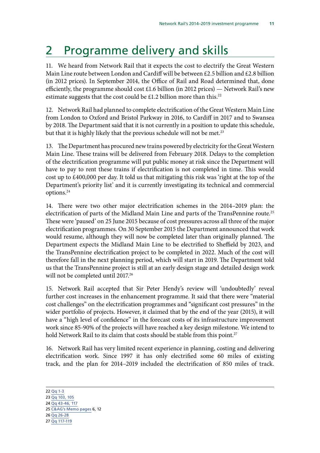## <span id="page-14-0"></span>2 Programme delivery and skills

11. We heard from Network Rail that it expects the cost to electrify the Great Western Main Line route between London and Cardiff will be between  $\epsilon$ 2.5 billion and  $\epsilon$ 2.8 billion (in 2012 prices). In September 2014, the Office of Rail and Road determined that, done efficiently, the programme should cost £1.6 billion (in 2012 prices) — Network Rail's new estimate suggests that the cost could be £1.2 billion more than this.<sup>22</sup>

12. Network Rail had planned to complete electrification of the Great Western Main Line from London to Oxford and Bristol Parkway in 2016, to Cardiff in 2017 and to Swansea by 2018. The Department said that it is not currently in a position to update this schedule, but that it is highly likely that the previous schedule will not be met.<sup>23</sup>

13. The Department has procured new trains powered by electricity for the Great Western Main Line. These trains will be delivered from February 2018. Delays to the completion of the electrification programme will put public money at risk since the Department will have to pay to rent these trains if electrification is not completed in time. This would cost up to £400,000 per day. It told us that mitigating this risk was 'right at the top of the Department's priority list' and it is currently investigating its technical and commercial options.24

14. There were two other major electrification schemes in the 2014–2019 plan: the electrification of parts of the Midland Main Line and parts of the TransPennine route.<sup>25</sup> These were 'paused' on 25 June 2015 because of cost pressures across all three of the major electrification programmes. On 30 September 2015 the Department announced that work would resume, although they will now be completed later than originally planned. The Department expects the Midland Main Line to be electrified to Sheffield by 2023, and the TransPennine electrification project to be completed in 2022. Much of the cost will therefore fall in the next planning period, which will start in 2019. The Department told us that the TransPennine project is still at an early design stage and detailed design work will not be completed until 2017.<sup>26</sup>

15. Network Rail accepted that Sir Peter Hendy's review will 'undoubtedly' reveal further cost increases in the enhancement programme. It said that there were "material cost challenges" on the electrification programmes and "significant cost pressures" in the wider portfolio of projects. However, it claimed that by the end of the year (2015), it will have a "high level of confidence" in the forecast costs of its infrastructure improvement work since 85-90% of the projects will have reached a key design milestone. We intend to hold Network Rail to its claim that costs should be stable from this point.<sup>27</sup>

16. Network Rail has very limited recent experience in planning, costing and delivering electrification work. Since 1997 it has only electrified some 60 miles of existing track, and the plan for 2014–2019 included the electrification of 850 miles of track.

<sup>22</sup> [Qq 1-3](http://www.parliament.uk/business/committees/committees-a-z/commons-select/public-accounts-committee/inquiries/parliament-2015/network-rail-2014-2019-rail-investment-programme-inquiry/)

<sup>23</sup> [Qq 103, 105](http://www.parliament.uk/business/committees/committees-a-z/commons-select/public-accounts-committee/inquiries/parliament-2015/network-rail-2014-2019-rail-investment-programme-inquiry/) 

<sup>24</sup> [Qq 43-46, 117](http://www.parliament.uk/business/committees/committees-a-z/commons-select/public-accounts-committee/inquiries/parliament-2015/network-rail-2014-2019-rail-investment-programme-inquiry/)

<sup>25</sup> [C&AG's Memo pages](https://www.nao.org.uk/wp-content/uploads/2015/10/Planning-and-delivery-of-the-2014–2019-rail-investment-programme1.pdf) 6, 12

<sup>26</sup> [Qq 26-28](http://www.parliament.uk/business/committees/committees-a-z/commons-select/public-accounts-committee/inquiries/parliament-2015/network-rail-2014-2019-rail-investment-programme-inquiry/) 

<sup>27</sup> [Qq 117-119](http://www.parliament.uk/business/committees/committees-a-z/commons-select/public-accounts-committee/inquiries/parliament-2015/network-rail-2014-2019-rail-investment-programme-inquiry/)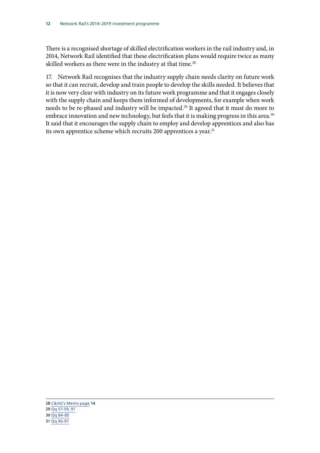There is a recognised shortage of skilled electrification workers in the rail industry and, in 2014, Network Rail identified that these electrification plans would require twice as many skilled workers as there were in the industry at that time.<sup>28</sup>

17. Network Rail recognises that the industry supply chain needs clarity on future work so that it can recruit, develop and train people to develop the skills needed. It believes that it is now very clear with industry on its future work programme and that it engages closely with the supply chain and keeps them informed of developments, for example when work needs to be re-phased and industry will be impacted.<sup>29</sup> It agreed that it must do more to embrace innovation and new technology, but feels that it is making progress in this area.<sup>30</sup> It said that it encourages the supply chain to employ and develop apprentices and also has its own apprentice scheme which recruits 200 apprentices a year.<sup>31</sup>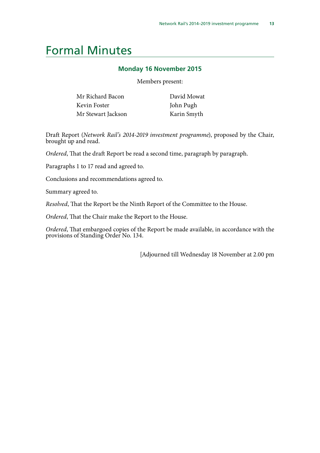### <span id="page-16-0"></span>Formal Minutes

### **Monday 16 November 2015**

Members present:

| Mr Richard Bacon   | David Mowat |
|--------------------|-------------|
| Kevin Foster       | John Pugh   |
| Mr Stewart Jackson | Karin Smyth |

Draft Report (*Network Rail's 2014-2019 investment programme*), proposed by the Chair, brought up and read.

*Ordered*, That the draft Report be read a second time, paragraph by paragraph.

Paragraphs 1 to 17 read and agreed to.

Conclusions and recommendations agreed to.

Summary agreed to.

*Resolved*, That the Report be the Ninth Report of the Committee to the House.

*Ordered*, That the Chair make the Report to the House.

*Ordered*, That embargoed copies of the Report be made available, in accordance with the provisions of Standing Order No. 134.

[Adjourned till Wednesday 18 November at 2.00 pm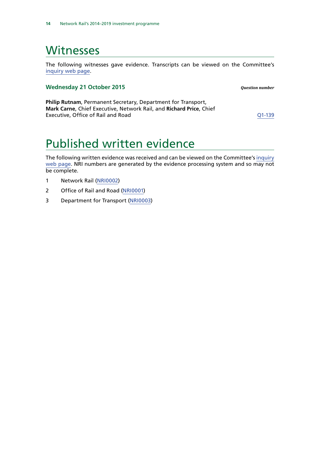### <span id="page-17-0"></span>**Witnesses**

The following witnesses gave evidence. Transcripts can be viewed on the Committee's [inquiry web page](http://www.parliament.uk/business/committees/committees-a-z/commons-select/public-accounts-committee/inquiries/parliament-2015/network-rail-2014-2019-rail-investment-programme-inquiry/).

### **Wednesday 21 October 2015** *Question number*

**Philip Rutnam**, Permanent Secretary, Department for Transport, **Mark Carne**, Chief Executive, Network Rail, and **Richard Price**, Chief Executive, Office of Rail and Road Communication Control Communication CO1-139

## Published written evidence

The following written evidence was received and can be viewed on the Committee's [inquiry](http://www.parliament.uk/business/committees/committees-a-z/commons-select/public-accounts-committee/inquiries/parliament-2015/network-rail-2014-2019-rail-investment-programme-inquiry/) [web page.](http://www.parliament.uk/business/committees/committees-a-z/commons-select/public-accounts-committee/inquiries/parliament-2015/network-rail-2014-2019-rail-investment-programme-inquiry/) NRI numbers are generated by the evidence processing system and so may not be complete.

- 1 Network Rail [\(NRI0002\)](http://data.parliament.uk/WrittenEvidence/CommitteeEvidence.svc/EvidenceDocument/Public%20Accounts/Network%20Rail%2020142019%20rail%20investment%20programme/written/24334.html)
- 2 Office of Rail and Road [\(NRI0001\)](http://data.parliament.uk/WrittenEvidence/CommitteeEvidence.svc/EvidenceDocument/Public%20Accounts/Network%20Rail%2020142019%20rail%20investment%20programme/written/23558.html)
- 3 Department for Transport [\(NRI0003\)](http://data.parliament.uk/writtenevidence/committeeevidence.svc/evidencedocument/public-accounts-committee/network-rail-20142019-rail-investment-programme/written/24523.html)